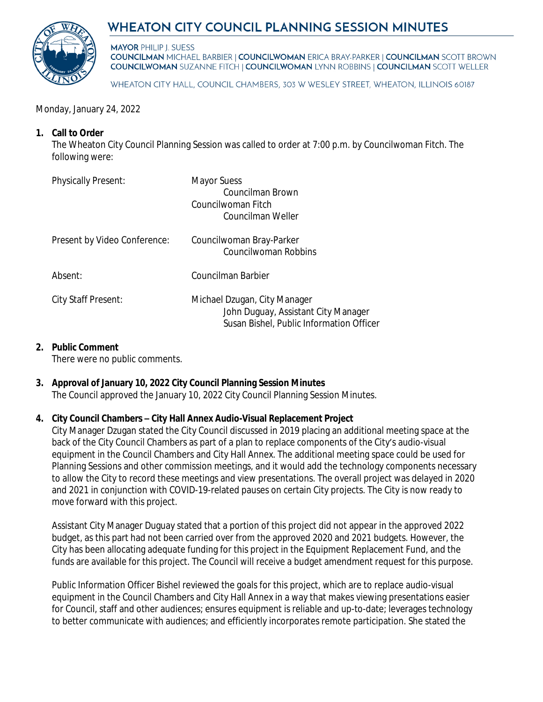# WHEATON CITY COUNCIL PLANNING SESSION MINUTES



**MAYOR PHILIP I. SUESS COUNCILMAN MICHAEL BARBIER | COUNCILWOMAN ERICA BRAY-PARKER | COUNCILMAN SCOTT BROWN COUNCILWOMAN SUZANNE FITCH | COUNCILWOMAN LYNN ROBBINS | COUNCILMAN SCOTT WELLER** 

WHEATON CITY HALL, COUNCIL CHAMBERS, 303 W WESLEY STREET, WHEATON, ILLINOIS 60187

Monday, January 24, 2022

### **1. Call to Order**

The Wheaton City Council Planning Session was called to order at 7:00 p.m. by Councilwoman Fitch. The following were:

| <b>Physically Present:</b>   | <b>Mayor Suess</b><br>Councilman Brown<br>Councilwoman Fitch<br>Councilman Weller                               |
|------------------------------|-----------------------------------------------------------------------------------------------------------------|
| Present by Video Conference: | Councilwoman Bray-Parker<br>Councilwoman Robbins                                                                |
| Absent:                      | Councilman Barbier                                                                                              |
| City Staff Present:          | Michael Dzugan, City Manager<br>John Duguay, Assistant City Manager<br>Susan Bishel, Public Information Officer |

### **2. Public Comment**

There were no public comments.

# **3. Approval of January 10, 2022 City Council Planning Session Minutes**

The Council approved the January 10, 2022 City Council Planning Session Minutes.

## **4. City Council Chambers – City Hall Annex Audio-Visual Replacement Project**

City Manager Dzugan stated the City Council discussed in 2019 placing an additional meeting space at the back of the City Council Chambers as part of a plan to replace components of the City's audio-visual equipment in the Council Chambers and City Hall Annex. The additional meeting space could be used for Planning Sessions and other commission meetings, and it would add the technology components necessary to allow the City to record these meetings and view presentations. The overall project was delayed in 2020 and 2021 in conjunction with COVID-19-related pauses on certain City projects. The City is now ready to move forward with this project.

Assistant City Manager Duguay stated that a portion of this project did not appear in the approved 2022 budget, as this part had not been carried over from the approved 2020 and 2021 budgets. However, the City has been allocating adequate funding for this project in the Equipment Replacement Fund, and the funds are available for this project. The Council will receive a budget amendment request for this purpose.

Public Information Officer Bishel reviewed the goals for this project, which are to replace audio-visual equipment in the Council Chambers and City Hall Annex in a way that makes viewing presentations easier for Council, staff and other audiences; ensures equipment is reliable and up-to-date; leverages technology to better communicate with audiences; and efficiently incorporates remote participation. She stated the